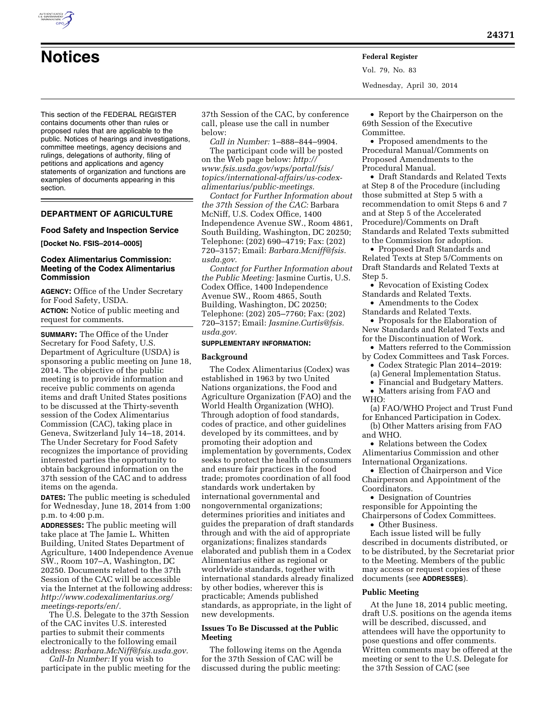This section of the FEDERAL REGISTER contains documents other than rules or proposed rules that are applicable to the public. Notices of hearings and investigations, committee meetings, agency decisions and rulings, delegations of authority, filing of petitions and applications and agency statements of organization and functions are examples of documents appearing in this section.

#### **DEPARTMENT OF AGRICULTURE**

#### **Food Safety and Inspection Service**

#### **[Docket No. FSIS–2014–0005]**

#### **Codex Alimentarius Commission: Meeting of the Codex Alimentarius Commission**

**AGENCY:** Office of the Under Secretary for Food Safety, USDA.

**ACTION:** Notice of public meeting and request for comments.

**SUMMARY:** The Office of the Under Secretary for Food Safety, U.S. Department of Agriculture (USDA) is sponsoring a public meeting on June 18, 2014. The objective of the public meeting is to provide information and receive public comments on agenda items and draft United States positions to be discussed at the Thirty-seventh session of the Codex Alimentarius Commission (CAC), taking place in Geneva, Switzerland July 14–18, 2014. The Under Secretary for Food Safety recognizes the importance of providing interested parties the opportunity to obtain background information on the 37th session of the CAC and to address items on the agenda.

**DATES:** The public meeting is scheduled for Wednesday, June 18, 2014 from 1:00 p.m. to 4:00 p.m.

**ADDRESSES:** The public meeting will take place at The Jamie L. Whitten Building, United States Department of Agriculture, 1400 Independence Avenue SW., Room 107–A, Washington, DC 20250. Documents related to the 37th Session of the CAC will be accessible via the Internet at the following address: *[http://www.codexalimentarius.org/](http://www.codexalimentarius.org/meetings-reports/en/) [meetings-reports/en/.](http://www.codexalimentarius.org/meetings-reports/en/)* 

The U.S. Delegate to the 37th Session of the CAC invites U.S. interested parties to submit their comments electronically to the following email address: *[Barbara.McNiff@fsis.usda.gov.](mailto:Barbara.McNiff@fsis.usda.gov)* 

*Call-In Number:* If you wish to participate in the public meeting for the 37th Session of the CAC, by conference call, please use the call in number below:

*Call in Number:* 1–888–844–9904.

The participant code will be posted on the Web page below: *[http://](http://www.fsis.usda.gov/wps/portal/fsis/topics/international-affairs/us-codex-alimentarius/public-meetings) [www.fsis.usda.gov/wps/portal/fsis/](http://www.fsis.usda.gov/wps/portal/fsis/topics/international-affairs/us-codex-alimentarius/public-meetings) [topics/international-affairs/us-codex](http://www.fsis.usda.gov/wps/portal/fsis/topics/international-affairs/us-codex-alimentarius/public-meetings)[alimentarius/public-meetings.](http://www.fsis.usda.gov/wps/portal/fsis/topics/international-affairs/us-codex-alimentarius/public-meetings)* 

*Contact for Further Information about the 37th Session of the CAC:* Barbara McNiff, U.S. Codex Office, 1400 Independence Avenue SW., Room 4861, South Building, Washington, DC 20250; Telephone: (202) 690–4719; Fax: (202) 720–3157; Email: *[Barbara.Mcniff@fsis.](mailto:Barbara.Mcniff@fsis.usda.gov) [usda.gov.](mailto:Barbara.Mcniff@fsis.usda.gov)* 

*Contact for Further Information about the Public Meeting:* Jasmine Curtis, U.S. Codex Office, 1400 Independence Avenue SW., Room 4865, South Building, Washington, DC 20250; Telephone: (202) 205–7760; Fax: (202) 720–3157; Email: *[Jasmine.Curtis@fsis.](mailto:Jasmine.Curtis@fsis.usda.gov) [usda.gov.](mailto:Jasmine.Curtis@fsis.usda.gov)* 

#### **SUPPLEMENTARY INFORMATION:**

#### **Background**

The Codex Alimentarius (Codex) was established in 1963 by two United Nations organizations, the Food and Agriculture Organization (FAO) and the World Health Organization (WHO). Through adoption of food standards, codes of practice, and other guidelines developed by its committees, and by promoting their adoption and implementation by governments, Codex seeks to protect the health of consumers and ensure fair practices in the food trade; promotes coordination of all food standards work undertaken by international governmental and nongovernmental organizations; determines priorities and initiates and guides the preparation of draft standards through and with the aid of appropriate organizations; finalizes standards elaborated and publish them in a Codex Alimentarius either as regional or worldwide standards, together with international standards already finalized by other bodies, wherever this is practicable; Amends published standards, as appropriate, in the light of new developments.

#### **Issues To Be Discussed at the Public Meeting**

The following items on the Agenda for the 37th Session of CAC will be discussed during the public meeting:

• Report by the Chairperson on the 69th Session of the Executive Committee.

Vol. 79, No. 83

Wednesday, April 30, 2014

• Proposed amendments to the Procedural Manual/Comments on Proposed Amendments to the Procedural Manual.

• Draft Standards and Related Texts at Step 8 of the Procedure (including those submitted at Step 5 with a recommendation to omit Steps 6 and 7 and at Step 5 of the Accelerated Procedure)/Comments on Draft Standards and Related Texts submitted to the Commission for adoption.

• Proposed Draft Standards and Related Texts at Step 5/Comments on Draft Standards and Related Texts at Step 5.

• Revocation of Existing Codex Standards and Related Texts.

• Amendments to the Codex Standards and Related Texts.

• Proposals for the Elaboration of New Standards and Related Texts and for the Discontinuation of Work.

• Matters referred to the Commission by Codex Committees and Task Forces.

• Codex Strategic Plan 2014–2019:

(a) General Implementation Status.

• Financial and Budgetary Matters.

• Matters arising from FAO and WHO:

(a) FAO/WHO Project and Trust Fund for Enhanced Participation in Codex.

(b) Other Matters arising from FAO and WHO.

• Relations between the Codex Alimentarius Commission and other International Organizations.

• Election of Chairperson and Vice Chairperson and Appointment of the Coordinators.

• Designation of Countries responsible for Appointing the Chairpersons of Codex Committees.

• Other Business.

Each issue listed will be fully described in documents distributed, or to be distributed, by the Secretariat prior to the Meeting. Members of the public may access or request copies of these documents (see **ADDRESSES**).

#### **Public Meeting**

At the June 18, 2014 public meeting, draft U.S. positions on the agenda items will be described, discussed, and attendees will have the opportunity to pose questions and offer comments. Written comments may be offered at the meeting or sent to the U.S. Delegate for the 37th Session of CAC (see

# **Notices Federal Register**